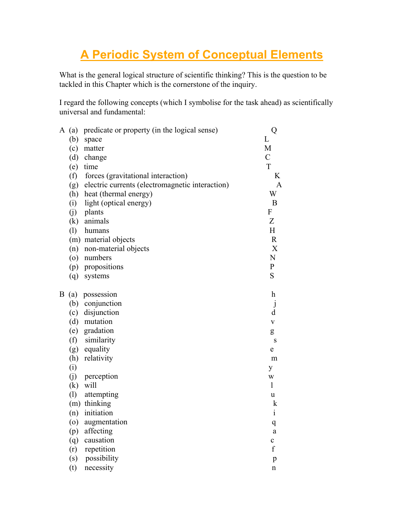## **A Periodic System of Conceptual Elements**

What is the general logical structure of scientific thinking? This is the question to be tackled in this Chapter which is the cornerstone of the inquiry.

I regard the following concepts (which I symbolise for the task ahead) as scientifically universal and fundamental:

| A | (a) | predicate or property (in the logical sense)    | Q                |
|---|-----|-------------------------------------------------|------------------|
|   | (b) | space                                           | L                |
|   | (c) | matter                                          | M                |
|   | (d) | change                                          | $\mathcal{C}$    |
|   | (e) | time                                            | T                |
|   | (f) | forces (gravitational interaction)              | K                |
|   | (g) | electric currents (electromagnetic interaction) | A                |
|   | (h) | heat (thermal energy)                           | W                |
|   | (i) | light (optical energy)                          | B                |
|   | (j) | plants                                          | $\boldsymbol{F}$ |
|   | (k) | animals                                         | Z                |
|   | (1) | humans                                          | $H_{\rm}$        |
|   |     | (m) material objects                            | $\mathbf R$      |
|   | (n) | non-material objects                            | X                |
|   | (0) | numbers                                         | ${\bf N}$        |
|   |     | (p) propositions                                | $\mathbf{P}$     |
|   | (q) | systems                                         | S                |
| B | (a) | possession                                      | h                |
|   | (b) | conjunction                                     | $\mathsf{J}$     |
|   | (c) | disjunction                                     | d                |
|   |     | (d) mutation                                    | $\mathbf V$      |
|   |     | (e) gradation                                   | g                |
|   | (f) | similarity                                      | S                |
|   | (g) | equality                                        | ${\bf e}$        |
|   | (h) | relativity                                      | m                |
|   | (i) |                                                 | y                |
|   | (j) | perception                                      | W                |
|   | (k) | will                                            | $\mathbf{1}$     |
|   | (1) | attempting                                      | u                |
|   |     | (m) thinking                                    | k                |
|   | (n) | initiation                                      | $\mathbf{i}$     |
|   | (0) | augmentation                                    | q                |
|   | (p) | affecting                                       | a                |
|   | (q) | causation                                       | $\mathbf{C}$     |
|   | (r) | repetition                                      | f                |
|   | (s) | possibility                                     | $\mathbf{p}$     |
|   | (t) | necessity                                       | $\mathbf n$      |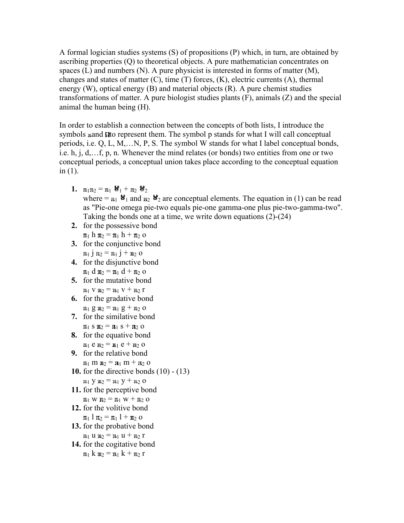A formal logician studies systems (S) of propositions (P) which, in turn, are obtained by ascribing properties (Q) to theoretical objects. A pure mathematician concentrates on spaces (L) and numbers (N). A pure physicist is interested in forms of matter (M), changes and states of matter (C), time (T) forces, (K), electric currents (A), thermal energy (W), optical energy (B) and material objects (R). A pure chemist studies transformations of matter. A pure biologist studies plants (F), animals (Z) and the special animal the human being (H).

In order to establish a connection between the concepts of both lists, I introduce the symbols nand to represent them. The symbol p stands for what I will call conceptual periods, i.e. Q, L, M,…N, P, S. The symbol W stands for what I label conceptual bonds, i.e. h, j, d,…f, p, n. Whenever the mind relates (or bonds) two entities from one or two conceptual periods, a conceptual union takes place according to the conceptual equation in (1).

- **1.**  $\mathbf{u}_{1} \mathbf{u}_{2} = \mathbf{u}_{1} \mathbf{u}_{1} + \mathbf{u}_{2} \mathbf{u}_{2}$ where =  $\mathbf{u}_1 \mathbf{B}_1$  and  $\mathbf{u}_2 \mathbf{B}_2$  are conceptual elements. The equation in (1) can be read as "Pie-one omega pie-two equals pie-one gamma-one plus pie-two-gamma-two". Taking the bonds one at a time, we write down equations (2)-(24)
- **2.** for the possessive bond  $\pi_1$  h  $\pi_2 = \pi_1$  h +  $\pi_2$  o
- **3.** for the conjunctive bond  $\pi_1$  j  $\pi_2 = \pi_1$  j +  $\pi_2$  o
- **4.** for the disjunctive bond  $\pi_1$  d  $\pi_2 = \pi_1$  d +  $\pi_2$  o
- **5.** for the mutative bond  $n_1 v n_2 = n_1 v + n_2 r$
- **6.** for the gradative bond  $\pi_1$  g  $\pi_2 = \pi_1$  g +  $\pi_2$  o
- **7.** for the similative bond  $\pi_1$  s  $\pi_2 = \pi_1$  s +  $\pi_2$  o
- **8.** for the equative bond  $n_1 e n_2 = n_1 e + n_2 o$
- **9.** for the relative bond
- $\mathbf{u}_1 \mathbf{m} \mathbf{u}_2 = \mathbf{u}_1 \mathbf{m} + \mathbf{u}_2 \mathbf{0}$
- **10.** for the directive bonds (10) (13)

```
\mathbb{1}_{1} y \mathbb{1}_{2} = \mathbb{1}_{1} y + \mathbb{1}_{2} o
```
- **11.** for the perceptive bond  $\mathbb{1}_{1}$  w  $\mathbb{1}_{2} = \mathbb{1}_{1}$  w +  $\mathbb{1}_{2}$  o
- **12.** for the volitive bond  $\pi_1$  l  $\pi_2 = \pi_1$  l +  $\pi_2$  o
- **13.** for the probative bond  $n_1 u_1 u_2 = n_1 u + n_2 r$
- **14.** for the cogitative bond  $\pi_1$  k  $\pi_2 = \pi_1$  k +  $\pi_2$  r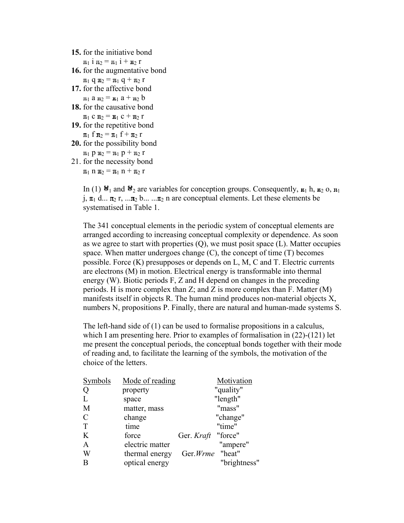**15.** for the initiative bond

 $\pi_1$  i  $\pi_2 = \pi_1$  i +  $\pi_2$  r

**16.** for the augmentative bond

 $\pi_1$  q  $\pi_2 = \pi_1$  q +  $\pi_2$  r

- **17.** for the affective bond  $n_1$  a  $n_2 = n_1$  a +  $n_2$  b
- **18.** for the causative bond

```
\pi_1 c \pi_2 = \pi_1 c + \pi_2 r
```
- **19.** for the repetitive bond  $\pi_1$  f  $\pi_2 = \pi_1$  f +  $\pi_2$  r
- **20.** for the possibility bond  $\mathfrak{u}_1$  p  $\mathfrak{u}_2 = \mathfrak{u}_1$  p +  $\mathfrak{u}_2$  r
- 21. for the necessity bond  $\pi_1$  n  $\pi_2 = \pi_1$  n +  $\pi_2$  r

In (1)  $\mathbf{B}_1$  and  $\mathbf{B}_2$  are variables for conception groups. Consequently,  $\mathbf{n}_1$  h,  $\mathbf{n}_2$  o,  $\mathbf{n}_1$ j,  $\pi_1$  d...  $\pi_2$  r, ...  $\pi_2$  b... ...  $\pi_2$  n are conceptual elements. Let these elements be systematised in Table 1.

The 341 conceptual elements in the periodic system of conceptual elements are arranged according to increasing conceptual complexity or dependence. As soon as we agree to start with properties  $(O)$ , we must posit space  $(L)$ . Matter occupies space. When matter undergoes change (C), the concept of time (T) becomes possible. Force (K) presupposes or depends on L, M, C and T. Electric currents are electrons (M) in motion. Electrical energy is transformable into thermal energy (W). Biotic periods F, Z and H depend on changes in the preceding periods. H is more complex than  $Z$ ; and  $Z$  is more complex than  $F$ . Matter  $(M)$ manifests itself in objects R. The human mind produces non-material objects X, numbers N, propositions P. Finally, there are natural and human-made systems S.

The left-hand side of (1) can be used to formalise propositions in a calculus, which I am presenting here. Prior to examples of formalisation in  $(22)$ - $(121)$  let me present the conceptual periods, the conceptual bonds together with their mode of reading and, to facilitate the learning of the symbols, the motivation of the choice of the letters.

| Symbols      | Mode of reading |                    | Motivation   |
|--------------|-----------------|--------------------|--------------|
| Q            | property        |                    | "quality"    |
|              | space           |                    | "length"     |
| M            | matter, mass    |                    | "mass"       |
| C            | change          |                    | "change"     |
| T            | time            |                    | "time"       |
| K            | force           | Ger. Kraft "force" |              |
| $\mathbf{A}$ | electric matter |                    | "ampere"     |
| W            | thermal energy  | Ger. Wrme "heat"   |              |
| B            | optical energy  |                    | "brightness" |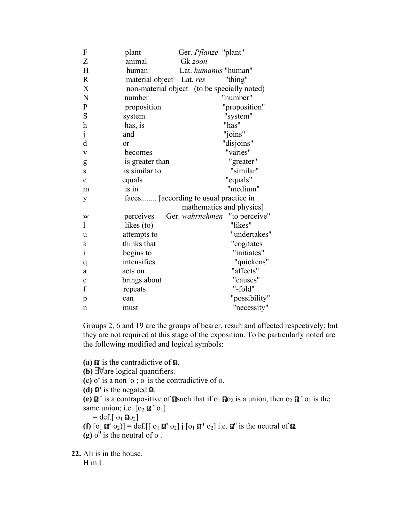| $\boldsymbol{F}$          | plant                    | Ger. <i>Pflanze</i> "plant"                 |  |
|---------------------------|--------------------------|---------------------------------------------|--|
| Z                         | animal                   | Gk zoon                                     |  |
| H                         | human                    | Lat. humanus "human"                        |  |
| $\mathbf R$               | material object Lat. res | "thing"                                     |  |
| $\mathbf X$               |                          | non-material object (to be specially noted) |  |
| $\mathbf N$               | number                   | "number"                                    |  |
| ${\bf P}$                 | proposition              | "proposition"                               |  |
| S                         | system                   | "system"                                    |  |
| $\boldsymbol{\mathrm{h}}$ | has, is                  | "has"                                       |  |
| $\dot{j}$                 | and                      | "joins"                                     |  |
| d                         | or                       | "disjoins"                                  |  |
| $\mathbf V$               | becomes                  | "varies"                                    |  |
| g                         | is greater than          | "greater"                                   |  |
| S                         | is similar to            | "similar"                                   |  |
| e                         | equals                   | "equals"                                    |  |
| m                         | is in                    | "medium"                                    |  |
| y                         |                          | faces [according to usual practice in       |  |
|                           |                          | mathematics and physics]                    |  |
| W                         | perceives                | Ger. wahrnehmen<br>"to perceive"            |  |
| 1                         | likes (to)               | "likes"                                     |  |
| u                         | attempts to              | "undertakes"                                |  |
| k                         | thinks that              | "cogitates                                  |  |
| $\mathbf{i}$              | begins to                | "initiates"                                 |  |
| q                         | intensifies              | "quickens"                                  |  |
| a                         | acts on                  | "affects"                                   |  |
| $\mathbf c$               | brings about             | "causes"                                    |  |
| f                         | repeats                  | "-fold"                                     |  |
| p                         | can                      | "possibility"                               |  |
| $\mathbf n$               | must                     | "necessity"                                 |  |

Groups 2, 6 and 19 are the groups of bearer, result and affected respectively; but they are not required at this stage of the exposition. To be particularly noted are the following modified and logical symbols:

**(a)**  $\Omega$  is the contradictive of  $\Omega$ .  $(b)$   $\exists \forall$  are logical quantifiers. **(c)** o**'** is a non **-** o ; o**.** is the contradictive of o. **(d)**  $\Omega'$  is the negated  $\Omega$ . (e)  $\mathbf{\Omega}^-$  is a contrapositive of **a** such that if  $o_1$   $\mathbf{\Omega}o_2$  is a union, then  $o_2$   $\mathbf{\Omega}^- o_1$  is the same union; i.e.  $\left[0_2 \mathbf{I} \cdot \mathbf{0}_1\right]$  $=$  def.[  $o_1$   $\Omega o_2$ ]

**(f)**  $[\mathbf{0}_1 \ \mathbf{\Omega}^0 \ \mathbf{0}_2)] = \text{def}$  [[ $[\mathbf{0}_1 \ \mathbf{\Omega}^1 \ \mathbf{0}_2] \ \mathbf{j} [\mathbf{0}_1 \ \mathbf{\Omega}^1 \ \mathbf{0}_2]$  i.e.  $\mathbf{\Omega}^0$  is the neutral of  $\mathbf{\Omega}$ .

 $(g)$  o<sup>0</sup> is the neutral of o.

**22.** Ali is in the house.

 $H$  m L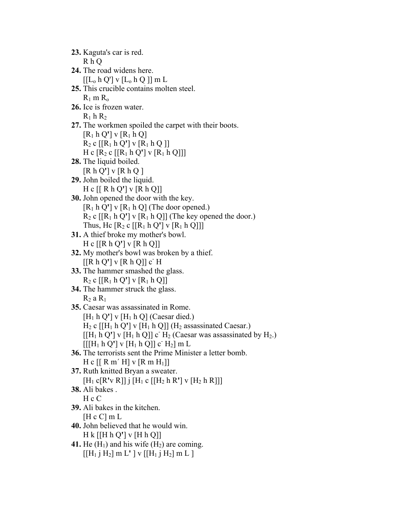| 23. Kaguta's car is red.                                                                     |
|----------------------------------------------------------------------------------------------|
| R h Q                                                                                        |
| 24. The road widens here.                                                                    |
| $[[L_0 \, h \, Q'] \, v \, [L_0 \, h \, Q]] \, m \, L$                                       |
| 25. This crucible contains molten steel.                                                     |
| $R_1$ m $R_0$                                                                                |
| 26. Ice is frozen water.                                                                     |
|                                                                                              |
| $R_1$ h $R_2$                                                                                |
| 27. The workmen spoiled the carpet with their boots.                                         |
| $[R_1 h Q']$ v $[R_1 h Q]$                                                                   |
| $R_2$ c [[ $R_1$ h Q'] v [ $R_1$ h Q ]]                                                      |
| H c $[R_2 c   [R_1 h Q'] v   R_1 h Q]]$                                                      |
| 28. The liquid boiled.                                                                       |
| [R h Q'] v [R h Q]                                                                           |
| 29. John boiled the liquid.                                                                  |
| H c [R h Q'] v [R h Q]]                                                                      |
| <b>30.</b> John opened the door with the key.                                                |
|                                                                                              |
| $[R_1 \, h \, Q']$ v $[R_1 \, h \, Q]$ (The door opened.)                                    |
| $R_2$ c [[ $R_1$ h Q'] v [ $R_1$ h Q]] (The key opened the door.)                            |
| Thus, Hc $[R_2 c   [R_1 h Q'] v [R_1 h Q]]$                                                  |
| <b>31.</b> A thief broke my mother's bowl.                                                   |
| H c $[ [R h Q'] v [R h Q]]$                                                                  |
| <b>32.</b> My mother's bowl was broken by a thief.                                           |
| [ [R h Q'] v [R h Q]] c] H                                                                   |
| 33. The hammer smashed the glass.                                                            |
| $R_2$ c [[ $R_1$ h Q'] v [ $R_1$ h Q]]                                                       |
| 34. The hammer struck the glass.                                                             |
| $R_2$ a $R_1$                                                                                |
| 35. Caesar was assassinated in Rome.                                                         |
|                                                                                              |
| $[H_1 h Q']$ v $[H_1 h Q]$ (Caesar died.)                                                    |
| $H_2$ c [[H <sub>1</sub> h Q'] v [H <sub>1</sub> h Q]] (H <sub>2</sub> assassinated Caesar.) |
| $[[H_1 h Q'] v [H_1 h Q]] c H_2$ (Caesar was assassinated by H <sub>2</sub> .)               |
| $[[[H_1 h Q'] v [H_1 h Q]] c H_2] m L$                                                       |
| 36. The terrorists sent the Prime Minister a letter bomb.                                    |
| H c [R m' H] v [R m H <sub>1</sub> ]]                                                        |
| 37. Ruth knitted Bryan a sweater.                                                            |
| $[H_1 c[R'v R]]$ j $[H_1 c [[H_2 h R'] v [H_2 h R]]]$                                        |
| 38. Ali bakes.                                                                               |
| H c C                                                                                        |
| 39. Ali bakes in the kitchen.                                                                |
|                                                                                              |
| [H c C] m L                                                                                  |
| 40. John believed that he would win.                                                         |
| $H k$ [[H h Q'] v [H h Q]]                                                                   |
| 41. He $(H_1)$ and his wife $(H_2)$ are coming.                                              |
| $[[H_1 j H_2] m L' ] v [[H_1 j H_2] m L ]$                                                   |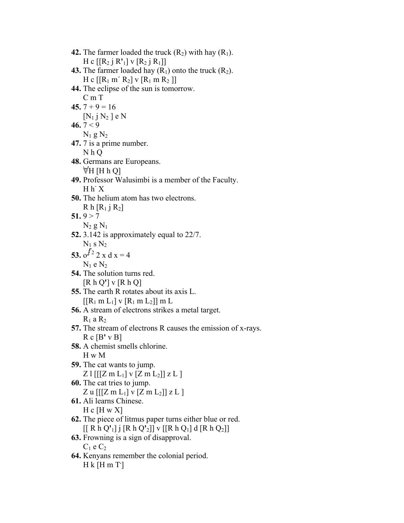| 42. The farmer loaded the truck $(R_2)$ with hay $(R_1)$ .        |
|-------------------------------------------------------------------|
| H c $[[R_2 \,]\,R']\,V$ $[R_2 \,]\,R_1]$                          |
| <b>43.</b> The farmer loaded hay $(R_1)$ onto the truck $(R_2)$ . |
| H c $[[R_1 m' R_2]$ v $[R_1 m R_2]]$                              |

- **44.** The eclipse of the sun is tomorrow. C m T
- 45.  $7 + 9 = 16$

```
[N_1 j N_2] e N
```
**46.**  $7 < 9$ 

 $N_1$  g  $N_2$ 

- **47.** 7 is a prime number. N h Q
- **48.** Germans are Europeans.  $\forall H$  [H h Q]
- **49.** Professor Walusimbi is a member of the Faculty.  $H h^2 X$
- **50.** The helium atom has two electrons.  $R$  h  $[R_1$  j  $R_2]$

## 51. $9 > 7$

 $N_2$  g  $N_1$ **52.** 3.142 is approximately equal to 22/7.

$$
N_1
$$
s  $N_2$ 

53. 
$$
\sigma^{\sqrt{2}} 2 x dx = 4
$$
  
N<sub>1</sub> e N<sub>2</sub>

- **54.** The solution turns red. [R h Q**'**] v [R h Q]
- **55.** The earth R rotates about its axis L.  $[ [R_1 \, m L_1] \, v [R_1 \, m L_2] ] \, m L$
- **56.** A stream of electrons strikes a metal target.  $R_1$  a  $R_2$
- **57.** The stream of electrons R causes the emission of x-rays. R c [B**'** v B]
- **58.** A chemist smells chlorine. H w M
- **59.** The cat wants to jump. Z l  $[[Z m L_1] v [Z m L_2]] z L]$
- **60.** The cat tries to jump. Z u  $[[Z \, m L_1] \, v \, [Z \, m L_2]]$  z L ]
- **61.** Ali learns Chinese.

## $H c [H w X]$

- **62.** The piece of litmus paper turns either blue or red. [[ R h Q**'**1] j [R h Q**'**2]] v [[R h Q1] d [R h Q2]]
- **63.** Frowning is a sign of disapproval.  $C_1$  e  $C_2$
- **64.** Kenyans remember the colonial period. H k [H m T**.** ]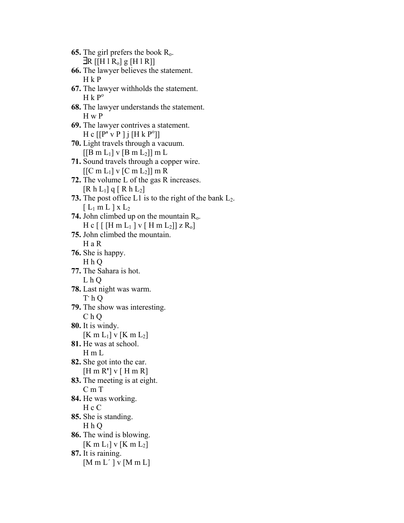**65.** The girl prefers the book Ro.  $\exists R \left[ [H \, 1 \, R_o \right] g \left[ H \, 1 \, R \right] \right]$ **66.** The lawyer believes the statement. H k P **67.** The lawyer withholds the statement.  $H k P<sup>o</sup>$ **68.** The lawyer understands the statement. H w P **69.** The lawyer contrives a statement.  $H c [[P' v P ] j [H k P<sup>o</sup>]]$ **70.** Light travels through a vacuum.  $[[B \ m L_1] \ v [B \ m L_2]] \ m L$ **71.** Sound travels through a copper wire.  $[[C m L_1] v [C m L_2]] m R$ **72.** The volume L of the gas R increases.  $[R h L_1] q [ R h L_2]$ **73.** The post office L1 is to the right of the bank  $L_2$ .  $[L_1 \text{ m } L]$  x  $L_2$ **74.** John climbed up on the mountain Ro.  $H c$  [ [H m L<sub>1</sub> ] v [H m L<sub>2</sub>]] z R<sub>0</sub>] **75.** John climbed the mountain. H a R **76.** She is happy. H h Q **77.** The Sahara is hot. L h Q **78.** Last night was warm. T**.** h Q **79.** The show was interesting. C h Q **80.** It is windy.  $[K \, m L_1]$  v  $[K \, m L_2]$ **81.** He was at school. H m L **82.** She got into the car. [H m R**'**] v [ H m R] **83.** The meeting is at eight. C m T **84.** He was working. H c C **85.** She is standing. H h Q **86.** The wind is blowing.  $[K m L_1] v K m L_2]$ **87.** It is raining.  $[M m L'] v [M m L]$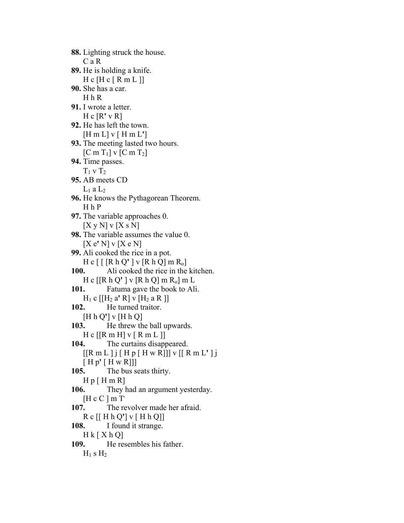**88.** Lighting struck the house. C a R **89.** He is holding a knife.  $H c [H c [R m L]]$ **90.** She has a car. H h R **91.** I wrote a letter. H c [R**'** v R] **92.** He has left the town. [H m L] v [ H m L**'**] **93.** The meeting lasted two hours.  $[C \text{ m } T_1]$  v  $[C \text{ m } T_2]$ **94.** Time passes.  $T_1$  v  $T_2$ **95.** AB meets CD  $L_1$  a  $L_2$ **96.** He knows the Pythagorean Theorem. H h P **97.** The variable approaches 0.  $[X y N] y [X s N]$ **98.** The variable assumes the value 0. [X e**'** N] v [X e N] **99.** Ali cooked the rice in a pot. H c [ [ [R h Q**'** ] v [R h Q] m Ro] **100.** Ali cooked the rice in the kitchen. H c [[R h Q**'** ] v [R h Q] m Ro] m L **101.** Fatuma gave the book to Ali.  $H_1$  c  $[[H_2 a' R]$  v  $[H_2 a R]]$ **102.** He turned traitor. [H h Q**'**] v [H h Q] **103.** He threw the ball upwards.  $H c$  [[R m H] v [ R m L ]] **104.** The curtains disappeared. [[R m L ] j [ H p [ H w R]]] v [[ R m L**'** ] j [ H p**'** [ H w R]]] **105.** The bus seats thirty.  $H p [ H m R ]$ **106.** They had an argument yesterday. [H c C ] m T**. 107.** The revolver made her afraid. R c [[ H h Q**'**] v [ H h Q]] **108.** I found it strange.  $H k [ X h Q]$ **109.** He resembles his father.  $H_1$  s  $H_2$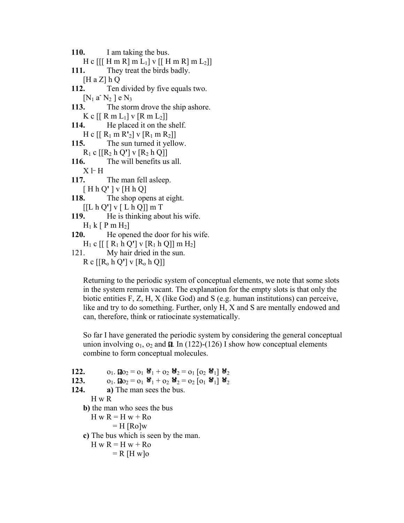**110.** I am taking the bus. H c  $[[H \, m \, R] \, m \, L_1]$  v  $[[H \, m \, R] \, m \, L_2]]$ **111.** They treat the birds badly.  $[H a Z] h Q$ **112.** Ten divided by five equals two. [N<sub>1</sub> a<sup>-</sup> N<sub>2</sub>] e N<sub>3</sub> **113.** The storm drove the ship ashore. K c  $\left[ \left[ \begin{array}{c} R \ m \ L_1 \end{array} \right]$  v  $\left[ \begin{array}{c} R \ m \ L_2 \end{array} \right]$ **114.** He placed it on the shelf.  $H c [R_1 m R_2] v [R_1 m R_2]$ **115.** The sun turned it yellow.  $R_1$  c  $[ [R_2 h Q'] v [R_2 h Q]]$ **116.** The will benefits us all. X l**\_** H **117.** The man fell asleep. [ H h Q**'** ] v [H h Q] **118.** The shop opens at eight. [[L h Q**'**] v [ L h Q]] m T **119.** He is thinking about his wife.  $H_1$  k [ P m  $H_2$ ] **120.** He opened the door for his wife.  $H_1$  c  $\lceil \lceil R_1 \cdot h Q' \rceil$  v  $\lceil R_1 \cdot h Q \rceil$  m  $H_2$ 121. My hair dried in the sun.  $R c$   $\lceil R_0 h Q' \rceil v \lceil R_0 h Q \rceil$ 

Returning to the periodic system of conceptual elements, we note that some slots in the system remain vacant. The explanation for the empty slots is that only the biotic entities  $F, Z, H, X$  (like God) and S (e.g. human institutions) can perceive, like and try to do something. Further, only H, X and S are mentally endowed and can, therefore, think or ratiocinate systematically.

So far I have generated the periodic system by considering the general conceptual union involving  $o_1$ ,  $o_2$  and  $\Omega$ . In (122)-(126) I show how conceptual elements combine to form conceptual molecules.

**122.**  $0_1$ ,  $\Omega_0 = 0_1$   $\mathbf{H}_1 + 0_2$   $\mathbf{H}_2 = 0_1$   $\begin{bmatrix} 0_2 & \mathbf{H}_1 \end{bmatrix}$   $\mathbf{H}_2$ **123.**  $o_1$ ,  $\Omega o_2 = o_1$   $\mathbf{H}_1 + o_2$   $\mathbf{H}_2 = o_2$   $o_1$   $\mathbf{H}_1$   $\mathbf{H}_2$ **124. a)** The man sees the bus. H w R **b)** the man who sees the bus  $H w R = H w + Ro$  $=$  H  $[Ro]w$ **c)** The bus which is seen by the man.  $H w R = H w + Ro$  $=$  R [H w]o